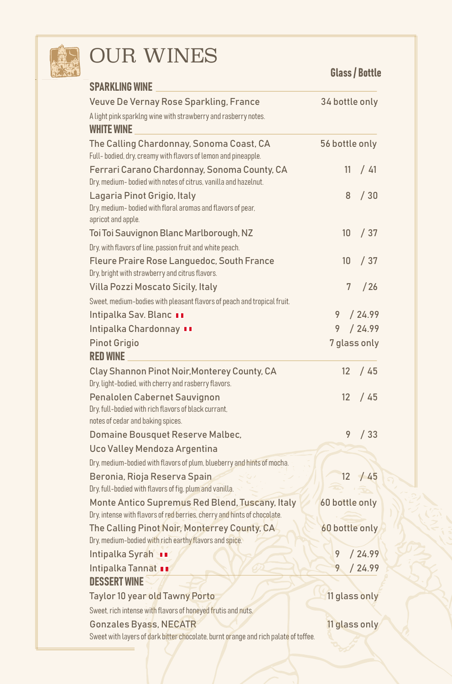

# **OUR WINES**

|                                                                                                                             | <b>Glass / Bottle</b> |               |
|-----------------------------------------------------------------------------------------------------------------------------|-----------------------|---------------|
| <b>SPARKLING WINE</b>                                                                                                       |                       |               |
| Veuve De Vernay Rose Sparkling, France                                                                                      | 34 bottle only        |               |
| A light pink sparking wine with strawberry and rasberry notes.                                                              |                       |               |
| <b>WHITE WINE</b>                                                                                                           |                       |               |
| The Calling Chardonnay, Sonoma Coast, CA<br>Full- bodied, dry, creamy with flavors of lemon and pineapple.                  | 56 bottle only        |               |
| Ferrari Carano Chardonnay, Sonoma County, CA<br>Dry, medium- bodied with notes of citrus, vanilla and hazelnut.             | 11                    | / 41          |
| Lagaria Pinot Grigio, Italy<br>Dry, medium- bodied with floral aromas and flavors of pear,<br>apricot and apple.            | 8                     | /30           |
| Toi Toi Sauvignon Blanc Marlborough, NZ                                                                                     | 10 <sup>°</sup>       | /37           |
| Dry, with flavors of line, passion fruit and white peach.                                                                   |                       |               |
| Fleure Praire Rose Languedoc, South France<br>Dry, bright with strawberry and citrus flavors.                               | 10 <sup>1</sup>       | /37           |
| Villa Pozzi Moscato Sicily, Italy                                                                                           | 7                     | /26           |
| Sweet, medium-bodies with pleasant flavors of peach and tropical fruit.                                                     |                       |               |
| Intipalka Sav. Blanc II                                                                                                     | 9                     | /24.99        |
| Intipalka Chardonnay II                                                                                                     | 9                     | /24.99        |
| <b>Pinot Grigio</b><br><b>RED WINE</b>                                                                                      | 7 glass only          |               |
| Clay Shannon Pinot Noir, Monterey County, CA<br>Dry, light-bodied, with cherry and rasberry flavors.                        | $12 \overline{ }$     | /45           |
| Penalolen Cabernet Sauvignon<br>Dry, full-bodied with rich flavors of black currant,<br>notes of cedar and baking spices.   | $12 \overline{ }$     | / 45          |
| Domaine Bousquet Reserve Malbec,                                                                                            | 9                     | /33           |
| Uco Valley Mendoza Argentina                                                                                                |                       |               |
| Dry, medium-bodied with flavors of plum, blueberry and hints of mocha.                                                      |                       |               |
| Beronia, Rioja Reserva Spain<br>Dry, full-bodied with flavors of fig, plum and vanilla.                                     | 12                    | /45           |
| Monte Antico Supremus Red Blend, Tuscany, Italy<br>Dry, intense with flavors of red berries, cherry and hints of chocolate. | 60 bottle only        |               |
| The Calling Pinot Noir, Monterrey County, CA<br>Dry, medium-bodied with rich earthy flavors and spice.                      | 60 bottle only        |               |
| Intipalka Syrah                                                                                                             |                       | /24.99        |
| Intipalka Tannat                                                                                                            | 9                     | /24.99        |
| <b>DESSERT WINE</b>                                                                                                         |                       |               |
| Taylor 10 year old Tawny Porto                                                                                              |                       | 11 glass only |
| Sweet, rich intense with flavors of honeyed frutis and nuts.                                                                |                       |               |
| Gonzales Byass, NECATR                                                                                                      |                       | 11 glass only |
| Sweet with layers of dark bitter chocolate, burnt orange and rich palate of toffee.                                         |                       |               |